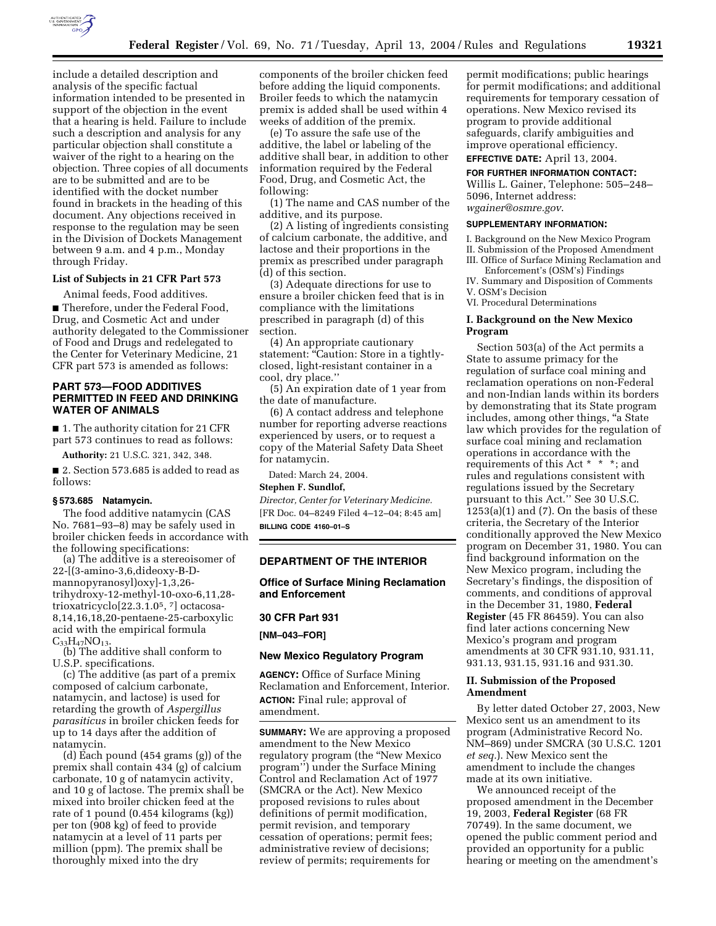

include a detailed description and analysis of the specific factual information intended to be presented in support of the objection in the event that a hearing is held. Failure to include such a description and analysis for any particular objection shall constitute a waiver of the right to a hearing on the objection. Three copies of all documents are to be submitted and are to be identified with the docket number found in brackets in the heading of this document. Any objections received in response to the regulation may be seen in the Division of Dockets Management between 9 a.m. and 4 p.m., Monday through Friday.

#### **List of Subjects in 21 CFR Part 573**

Animal feeds, Food additives. ■ Therefore, under the Federal Food, Drug, and Cosmetic Act and under authority delegated to the Commissioner of Food and Drugs and redelegated to the Center for Veterinary Medicine, 21 CFR part 573 is amended as follows:

### **PART 573—FOOD ADDITIVES PERMITTED IN FEED AND DRINKING WATER OF ANIMALS**

■ 1. The authority citation for 21 CFR part 573 continues to read as follows:

**Authority:** 21 U.S.C. 321, 342, 348.

■ 2. Section 573.685 is added to read as follows:

### **§ 573.685 Natamycin.**

The food additive natamycin (CAS No. 7681–93–8) may be safely used in broiler chicken feeds in accordance with the following specifications:

(a) The additive is a stereoisomer of 22-[(3-amino-3,6,dideoxy-B-Dmannopyranosyl)oxy]-1,3,26 trihydroxy-12-methyl-10-oxo-6,11,28 trioxatricyclo[22.3.1.05, 7] octacosa-8,14,16,18,20-pentaene-25-carboxylic acid with the empirical formula  $C_{33}H_{47}NO_{13}$ .

(b) The additive shall conform to U.S.P. specifications.

(c) The additive (as part of a premix composed of calcium carbonate, natamycin, and lactose) is used for retarding the growth of *Aspergillus parasiticus* in broiler chicken feeds for up to 14 days after the addition of natamycin.

(d) Each pound (454 grams (g)) of the premix shall contain 434 (g) of calcium carbonate, 10 g of natamycin activity, and 10 g of lactose. The premix shall be mixed into broiler chicken feed at the rate of 1 pound (0.454 kilograms (kg)) per ton (908 kg) of feed to provide natamycin at a level of 11 parts per million (ppm). The premix shall be thoroughly mixed into the dry

components of the broiler chicken feed before adding the liquid components. Broiler feeds to which the natamycin premix is added shall be used within 4 weeks of addition of the premix.

(e) To assure the safe use of the additive, the label or labeling of the additive shall bear, in addition to other information required by the Federal Food, Drug, and Cosmetic Act, the following:

(1) The name and CAS number of the additive, and its purpose.

(2) A listing of ingredients consisting of calcium carbonate, the additive, and lactose and their proportions in the premix as prescribed under paragraph (d) of this section.

(3) Adequate directions for use to ensure a broiler chicken feed that is in compliance with the limitations prescribed in paragraph (d) of this section.

(4) An appropriate cautionary statement: "Caution: Store in a tightlyclosed, light-resistant container in a cool, dry place.''

(5) An expiration date of 1 year from the date of manufacture.

(6) A contact address and telephone number for reporting adverse reactions experienced by users, or to request a copy of the Material Safety Data Sheet for natamycin.

Dated: March 24, 2004.

#### **Stephen F. Sundlof,**

*Director, Center for Veterinary Medicine.*  [FR Doc. 04–8249 Filed 4–12–04; 8:45 am] **BILLING CODE 4160–01–S** 

#### **DEPARTMENT OF THE INTERIOR**

### **Office of Surface Mining Reclamation and Enforcement**

# **30 CFR Part 931**

**[NM–043–FOR]** 

#### **New Mexico Regulatory Program**

**AGENCY:** Office of Surface Mining Reclamation and Enforcement, Interior. **ACTION:** Final rule; approval of amendment.

**SUMMARY:** We are approving a proposed amendment to the New Mexico regulatory program (the "New Mexico" program'') under the Surface Mining Control and Reclamation Act of 1977 (SMCRA or the Act). New Mexico proposed revisions to rules about definitions of permit modification, permit revision, and temporary cessation of operations; permit fees; administrative review of decisions; review of permits; requirements for

permit modifications; public hearings for permit modifications; and additional requirements for temporary cessation of operations. New Mexico revised its program to provide additional safeguards, clarify ambiguities and improve operational efficiency.

**EFFECTIVE DATE:** April 13, 2004.

**FOR FURTHER INFORMATION CONTACT:**  Willis L. Gainer, Telephone: 505–248– 5096, Internet address:

*wgainer@osmre.gov*.

#### **SUPPLEMENTARY INFORMATION:**

I. Background on the New Mexico Program II. Submission of the Proposed Amendment III. Office of Surface Mining Reclamation and

- Enforcement's (OSM's) Findings IV. Summary and Disposition of Comments
- V. OSM's Decision
- VI. Procedural Determinations

#### **I. Background on the New Mexico Program**

Section 503(a) of the Act permits a State to assume primacy for the regulation of surface coal mining and reclamation operations on non-Federal and non-Indian lands within its borders by demonstrating that its State program includes, among other things, "a State law which provides for the regulation of surface coal mining and reclamation operations in accordance with the requirements of this Act \* \* \*; and rules and regulations consistent with regulations issued by the Secretary pursuant to this Act.'' See 30 U.S.C.  $1253(a)(1)$  and  $(7)$ . On the basis of these criteria, the Secretary of the Interior conditionally approved the New Mexico program on December 31, 1980. You can find background information on the New Mexico program, including the Secretary's findings, the disposition of comments, and conditions of approval in the December 31, 1980, **Federal Register** (45 FR 86459). You can also find later actions concerning New Mexico's program and program amendments at 30 CFR 931.10, 931.11, 931.13, 931.15, 931.16 and 931.30.

#### **II. Submission of the Proposed Amendment**

By letter dated October 27, 2003, New Mexico sent us an amendment to its program (Administrative Record No. NM–869) under SMCRA (30 U.S.C. 1201 *et seq.*). New Mexico sent the amendment to include the changes made at its own initiative.

We announced receipt of the proposed amendment in the December 19, 2003, **Federal Register** (68 FR 70749). In the same document, we opened the public comment period and provided an opportunity for a public hearing or meeting on the amendment's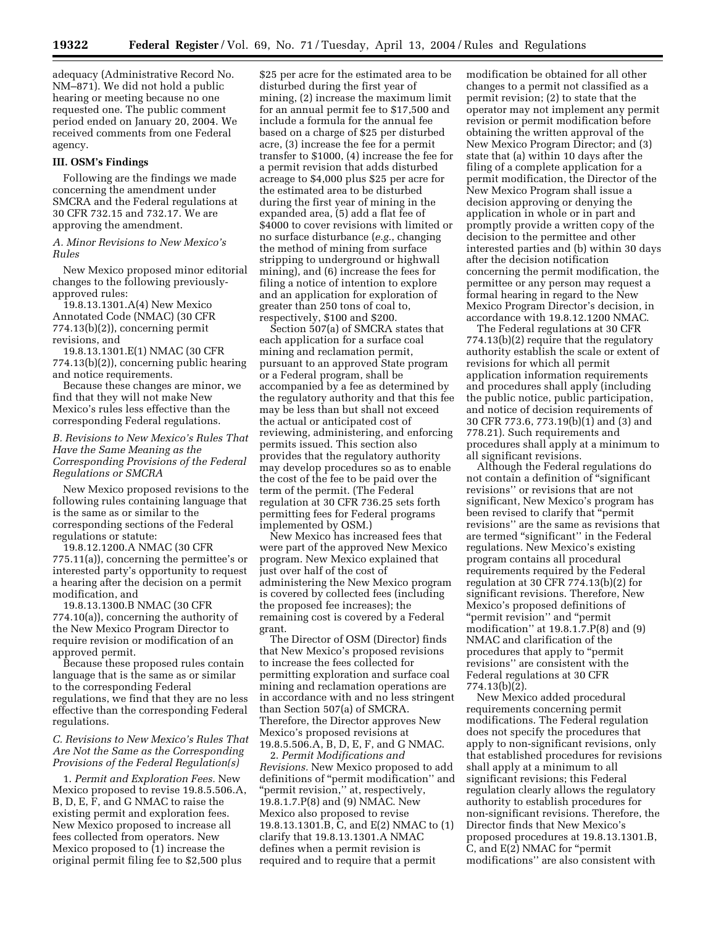adequacy (Administrative Record No. NM–871). We did not hold a public hearing or meeting because no one requested one. The public comment period ended on January 20, 2004. We received comments from one Federal agency.

#### **III. OSM's Findings**

Following are the findings we made concerning the amendment under SMCRA and the Federal regulations at 30 CFR 732.15 and 732.17. We are approving the amendment.

*A. Minor Revisions to New Mexico's Rules* 

New Mexico proposed minor editorial changes to the following previouslyapproved rules:

19.8.13.1301.A(4) New Mexico Annotated Code (NMAC) (30 CFR 774.13(b)(2)), concerning permit revisions, and

19.8.13.1301.E(1) NMAC (30 CFR 774.13(b)(2)), concerning public hearing and notice requirements.

Because these changes are minor, we find that they will not make New Mexico's rules less effective than the corresponding Federal regulations.

*B. Revisions to New Mexico's Rules That Have the Same Meaning as the Corresponding Provisions of the Federal Regulations or SMCRA* 

New Mexico proposed revisions to the following rules containing language that is the same as or similar to the corresponding sections of the Federal regulations or statute:

19.8.12.1200.A NMAC (30 CFR 775.11(a)), concerning the permittee's or interested party's opportunity to request a hearing after the decision on a permit modification, and

19.8.13.1300.B NMAC (30 CFR 774.10(a)), concerning the authority of the New Mexico Program Director to require revision or modification of an approved permit.

Because these proposed rules contain language that is the same as or similar to the corresponding Federal regulations, we find that they are no less effective than the corresponding Federal regulations.

*C. Revisions to New Mexico's Rules That Are Not the Same as the Corresponding Provisions of the Federal Regulation(s)* 

1. *Permit and Exploration Fees.* New Mexico proposed to revise 19.8.5.506.A, B, D, E, F, and G NMAC to raise the existing permit and exploration fees. New Mexico proposed to increase all fees collected from operators. New Mexico proposed to (1) increase the original permit filing fee to \$2,500 plus

\$25 per acre for the estimated area to be disturbed during the first year of mining, (2) increase the maximum limit for an annual permit fee to \$17,500 and include a formula for the annual fee based on a charge of \$25 per disturbed acre, (3) increase the fee for a permit transfer to \$1000, (4) increase the fee for a permit revision that adds disturbed acreage to \$4,000 plus \$25 per acre for the estimated area to be disturbed during the first year of mining in the expanded area, (5) add a flat fee of \$4000 to cover revisions with limited or no surface disturbance (*e.g.*, changing the method of mining from surface stripping to underground or highwall mining), and (6) increase the fees for filing a notice of intention to explore and an application for exploration of greater than 250 tons of coal to, respectively, \$100 and \$200.

Section 507(a) of SMCRA states that each application for a surface coal mining and reclamation permit, pursuant to an approved State program or a Federal program, shall be accompanied by a fee as determined by the regulatory authority and that this fee may be less than but shall not exceed the actual or anticipated cost of reviewing, administering, and enforcing permits issued. This section also provides that the regulatory authority may develop procedures so as to enable the cost of the fee to be paid over the term of the permit. (The Federal regulation at 30 CFR 736.25 sets forth permitting fees for Federal programs implemented by OSM.)

New Mexico has increased fees that were part of the approved New Mexico program. New Mexico explained that just over half of the cost of administering the New Mexico program is covered by collected fees (including the proposed fee increases); the remaining cost is covered by a Federal grant.

The Director of OSM (Director) finds that New Mexico's proposed revisions to increase the fees collected for permitting exploration and surface coal mining and reclamation operations are in accordance with and no less stringent than Section 507(a) of SMCRA. Therefore, the Director approves New Mexico's proposed revisions at 19.8.5.506.A, B, D, E, F, and G NMAC.

2. *Permit Modifications and Revisions.* New Mexico proposed to add definitions of ''permit modification'' and "permit revision," at, respectively, 19.8.1.7.P(8) and (9) NMAC. New Mexico also proposed to revise 19.8.13.1301.B, C, and E(2) NMAC to (1) clarify that 19.8.13.1301.A NMAC defines when a permit revision is required and to require that a permit

modification be obtained for all other changes to a permit not classified as a permit revision; (2) to state that the operator may not implement any permit revision or permit modification before obtaining the written approval of the New Mexico Program Director; and (3) state that (a) within 10 days after the filing of a complete application for a permit modification, the Director of the New Mexico Program shall issue a decision approving or denying the application in whole or in part and promptly provide a written copy of the decision to the permittee and other interested parties and (b) within 30 days after the decision notification concerning the permit modification, the permittee or any person may request a formal hearing in regard to the New Mexico Program Director's decision, in accordance with 19.8.12.1200 NMAC.

The Federal regulations at 30 CFR 774.13(b)(2) require that the regulatory authority establish the scale or extent of revisions for which all permit application information requirements and procedures shall apply (including the public notice, public participation, and notice of decision requirements of 30 CFR 773.6, 773.19(b)(1) and (3) and 778.21). Such requirements and procedures shall apply at a minimum to all significant revisions.

Although the Federal regulations do not contain a definition of ''significant revisions'' or revisions that are not significant, New Mexico's program has been revised to clarify that ''permit revisions'' are the same as revisions that are termed "significant" in the Federal regulations. New Mexico's existing program contains all procedural requirements required by the Federal regulation at 30 CFR 774.13(b)(2) for significant revisions. Therefore, New Mexico's proposed definitions of ''permit revision'' and ''permit modification'' at 19.8.1.7.P(8) and (9) NMAC and clarification of the procedures that apply to ''permit revisions'' are consistent with the Federal regulations at 30 CFR 774.13(b)(2).

New Mexico added procedural requirements concerning permit modifications. The Federal regulation does not specify the procedures that apply to non-significant revisions, only that established procedures for revisions shall apply at a minimum to all significant revisions; this Federal regulation clearly allows the regulatory authority to establish procedures for non-significant revisions. Therefore, the Director finds that New Mexico's proposed procedures at 19.8.13.1301.B, C, and E(2) NMAC for ''permit modifications'' are also consistent with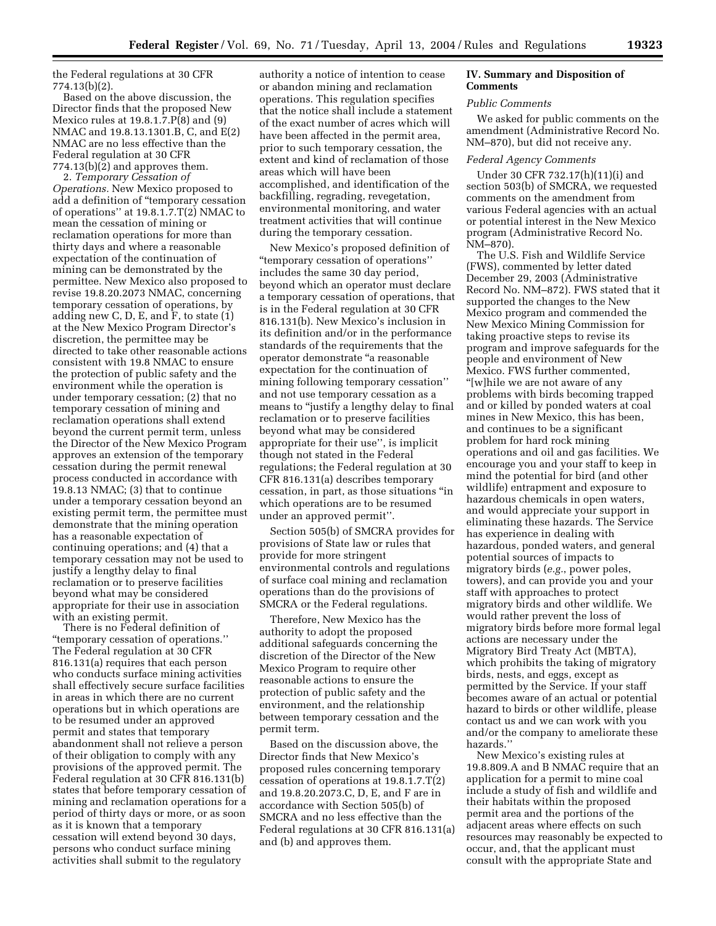the Federal regulations at 30 CFR 774.13(b)(2).

Based on the above discussion, the Director finds that the proposed New Mexico rules at 19.8.1.7.P(8) and (9) NMAC and 19.8.13.1301.B, C, and E(2) NMAC are no less effective than the Federal regulation at 30 CFR 774.13(b)(2) and approves them.

2. *Temporary Cessation of Operations.* New Mexico proposed to add a definition of ''temporary cessation of operations'' at 19.8.1.7.T(2) NMAC to mean the cessation of mining or reclamation operations for more than thirty days and where a reasonable expectation of the continuation of mining can be demonstrated by the permittee. New Mexico also proposed to revise 19.8.20.2073 NMAC, concerning temporary cessation of operations, by adding new C, D, E, and F, to state (1) at the New Mexico Program Director's discretion, the permittee may be directed to take other reasonable actions consistent with 19.8 NMAC to ensure the protection of public safety and the environment while the operation is under temporary cessation; (2) that no temporary cessation of mining and reclamation operations shall extend beyond the current permit term, unless the Director of the New Mexico Program approves an extension of the temporary cessation during the permit renewal process conducted in accordance with 19.8.13 NMAC; (3) that to continue under a temporary cessation beyond an existing permit term, the permittee must demonstrate that the mining operation has a reasonable expectation of continuing operations; and (4) that a temporary cessation may not be used to justify a lengthy delay to final reclamation or to preserve facilities beyond what may be considered appropriate for their use in association with an existing permit.

There is no Federal definition of ''temporary cessation of operations.'' The Federal regulation at 30 CFR 816.131(a) requires that each person who conducts surface mining activities shall effectively secure surface facilities in areas in which there are no current operations but in which operations are to be resumed under an approved permit and states that temporary abandonment shall not relieve a person of their obligation to comply with any provisions of the approved permit. The Federal regulation at 30 CFR 816.131(b) states that before temporary cessation of mining and reclamation operations for a period of thirty days or more, or as soon as it is known that a temporary cessation will extend beyond 30 days, persons who conduct surface mining activities shall submit to the regulatory

authority a notice of intention to cease or abandon mining and reclamation operations. This regulation specifies that the notice shall include a statement of the exact number of acres which will have been affected in the permit area, prior to such temporary cessation, the extent and kind of reclamation of those areas which will have been accomplished, and identification of the backfilling, regrading, revegetation, environmental monitoring, and water treatment activities that will continue during the temporary cessation.

New Mexico's proposed definition of ''temporary cessation of operations'' includes the same 30 day period, beyond which an operator must declare a temporary cessation of operations, that is in the Federal regulation at 30 CFR 816.131(b). New Mexico's inclusion in its definition and/or in the performance standards of the requirements that the operator demonstrate ''a reasonable expectation for the continuation of mining following temporary cessation'' and not use temporary cessation as a means to "justify a lengthy delay to final reclamation or to preserve facilities beyond what may be considered appropriate for their use'', is implicit though not stated in the Federal regulations; the Federal regulation at 30 CFR 816.131(a) describes temporary cessation, in part, as those situations ''in which operations are to be resumed under an approved permit''.

Section 505(b) of SMCRA provides for provisions of State law or rules that provide for more stringent environmental controls and regulations of surface coal mining and reclamation operations than do the provisions of SMCRA or the Federal regulations.

Therefore, New Mexico has the authority to adopt the proposed additional safeguards concerning the discretion of the Director of the New Mexico Program to require other reasonable actions to ensure the protection of public safety and the environment, and the relationship between temporary cessation and the permit term.

Based on the discussion above, the Director finds that New Mexico's proposed rules concerning temporary cessation of operations at 19.8.1.7.T(2) and 19.8.20.2073.C, D, E, and F are in accordance with Section 505(b) of SMCRA and no less effective than the Federal regulations at 30 CFR 816.131(a) and (b) and approves them.

### **IV. Summary and Disposition of Comments**

### *Public Comments*

We asked for public comments on the amendment (Administrative Record No. NM–870), but did not receive any.

#### *Federal Agency Comments*

Under 30 CFR 732.17(h)(11)(i) and section 503(b) of SMCRA, we requested comments on the amendment from various Federal agencies with an actual or potential interest in the New Mexico program (Administrative Record No. NM–870).

The U.S. Fish and Wildlife Service (FWS), commented by letter dated December 29, 2003 (Administrative Record No. NM–872). FWS stated that it supported the changes to the New Mexico program and commended the New Mexico Mining Commission for taking proactive steps to revise its program and improve safeguards for the people and environment of New Mexico. FWS further commented, ''[w]hile we are not aware of any problems with birds becoming trapped and or killed by ponded waters at coal mines in New Mexico, this has been, and continues to be a significant problem for hard rock mining operations and oil and gas facilities. We encourage you and your staff to keep in mind the potential for bird (and other wildlife) entrapment and exposure to hazardous chemicals in open waters, and would appreciate your support in eliminating these hazards. The Service has experience in dealing with hazardous, ponded waters, and general potential sources of impacts to migratory birds (*e.g.*, power poles, towers), and can provide you and your staff with approaches to protect migratory birds and other wildlife. We would rather prevent the loss of migratory birds before more formal legal actions are necessary under the Migratory Bird Treaty Act (MBTA), which prohibits the taking of migratory birds, nests, and eggs, except as permitted by the Service. If your staff becomes aware of an actual or potential hazard to birds or other wildlife, please contact us and we can work with you and/or the company to ameliorate these hazards.''

New Mexico's existing rules at 19.8.809.A and B NMAC require that an application for a permit to mine coal include a study of fish and wildlife and their habitats within the proposed permit area and the portions of the adjacent areas where effects on such resources may reasonably be expected to occur, and, that the applicant must consult with the appropriate State and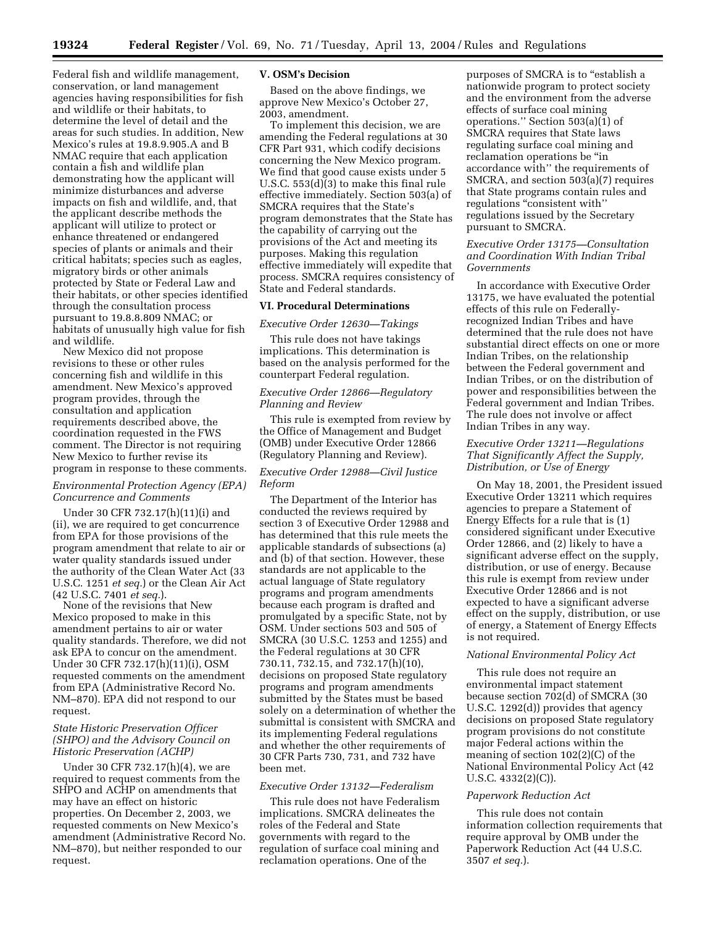Federal fish and wildlife management, conservation, or land management agencies having responsibilities for fish and wildlife or their habitats, to determine the level of detail and the areas for such studies. In addition, New Mexico's rules at 19.8.9.905.A and B NMAC require that each application contain a fish and wildlife plan demonstrating how the applicant will minimize disturbances and adverse impacts on fish and wildlife, and, that the applicant describe methods the applicant will utilize to protect or enhance threatened or endangered species of plants or animals and their critical habitats; species such as eagles, migratory birds or other animals protected by State or Federal Law and their habitats, or other species identified through the consultation process pursuant to 19.8.8.809 NMAC; or habitats of unusually high value for fish and wildlife.

New Mexico did not propose revisions to these or other rules concerning fish and wildlife in this amendment. New Mexico's approved program provides, through the consultation and application requirements described above, the coordination requested in the FWS comment. The Director is not requiring New Mexico to further revise its program in response to these comments.

#### *Environmental Protection Agency (EPA) Concurrence and Comments*

Under 30 CFR 732.17(h)(11)(i) and (ii), we are required to get concurrence from EPA for those provisions of the program amendment that relate to air or water quality standards issued under the authority of the Clean Water Act (33 U.S.C. 1251 *et seq.*) or the Clean Air Act (42 U.S.C. 7401 *et seq.*).

None of the revisions that New Mexico proposed to make in this amendment pertains to air or water quality standards. Therefore, we did not ask EPA to concur on the amendment. Under 30 CFR 732.17(h)(11)(i), OSM requested comments on the amendment from EPA (Administrative Record No. NM–870). EPA did not respond to our request.

### *State Historic Preservation Officer (SHPO) and the Advisory Council on Historic Preservation (ACHP)*

Under 30 CFR 732.17(h)(4), we are required to request comments from the SHPO and ACHP on amendments that may have an effect on historic properties. On December 2, 2003, we requested comments on New Mexico's amendment (Administrative Record No. NM–870), but neither responded to our request.

#### **V. OSM's Decision**

Based on the above findings, we approve New Mexico's October 27, 2003, amendment.

To implement this decision, we are amending the Federal regulations at 30 CFR Part 931, which codify decisions concerning the New Mexico program. We find that good cause exists under 5 U.S.C. 553(d)(3) to make this final rule effective immediately. Section 503(a) of SMCRA requires that the State's program demonstrates that the State has the capability of carrying out the provisions of the Act and meeting its purposes. Making this regulation effective immediately will expedite that process. SMCRA requires consistency of State and Federal standards.

# **VI. Procedural Determinations**

*Executive Order 12630—Takings* 

This rule does not have takings implications. This determination is based on the analysis performed for the counterpart Federal regulation.

# *Executive Order 12866—Regulatory Planning and Review*

This rule is exempted from review by the Office of Management and Budget (OMB) under Executive Order 12866 (Regulatory Planning and Review).

### *Executive Order 12988—Civil Justice Reform*

The Department of the Interior has conducted the reviews required by section 3 of Executive Order 12988 and has determined that this rule meets the applicable standards of subsections (a) and (b) of that section. However, these standards are not applicable to the actual language of State regulatory programs and program amendments because each program is drafted and promulgated by a specific State, not by OSM. Under sections 503 and 505 of SMCRA (30 U.S.C. 1253 and 1255) and the Federal regulations at 30 CFR 730.11, 732.15, and 732.17(h)(10), decisions on proposed State regulatory programs and program amendments submitted by the States must be based solely on a determination of whether the submittal is consistent with SMCRA and its implementing Federal regulations and whether the other requirements of 30 CFR Parts 730, 731, and 732 have been met.

#### *Executive Order 13132—Federalism*

This rule does not have Federalism implications. SMCRA delineates the roles of the Federal and State governments with regard to the regulation of surface coal mining and reclamation operations. One of the

purposes of SMCRA is to "establish a nationwide program to protect society and the environment from the adverse effects of surface coal mining operations." Section  $503(a)(1)$  of SMCRA requires that State laws regulating surface coal mining and reclamation operations be ''in accordance with'' the requirements of SMCRA, and section 503(a)(7) requires that State programs contain rules and regulations "consistent with" regulations issued by the Secretary pursuant to SMCRA.

### *Executive Order 13175—Consultation and Coordination With Indian Tribal Governments*

In accordance with Executive Order 13175, we have evaluated the potential effects of this rule on Federallyrecognized Indian Tribes and have determined that the rule does not have substantial direct effects on one or more Indian Tribes, on the relationship between the Federal government and Indian Tribes, or on the distribution of power and responsibilities between the Federal government and Indian Tribes. The rule does not involve or affect Indian Tribes in any way.

### *Executive Order 13211—Regulations That Significantly Affect the Supply, Distribution, or Use of Energy*

On May 18, 2001, the President issued Executive Order 13211 which requires agencies to prepare a Statement of Energy Effects for a rule that is (1) considered significant under Executive Order 12866, and (2) likely to have a significant adverse effect on the supply, distribution, or use of energy. Because this rule is exempt from review under Executive Order 12866 and is not expected to have a significant adverse effect on the supply, distribution, or use of energy, a Statement of Energy Effects is not required.

#### *National Environmental Policy Act*

This rule does not require an environmental impact statement because section 702(d) of SMCRA (30 U.S.C. 1292(d)) provides that agency decisions on proposed State regulatory program provisions do not constitute major Federal actions within the meaning of section 102(2)(C) of the National Environmental Policy Act (42 U.S.C. 4332(2)(C)).

#### *Paperwork Reduction Act*

This rule does not contain information collection requirements that require approval by OMB under the Paperwork Reduction Act (44 U.S.C. 3507 *et seq.*).